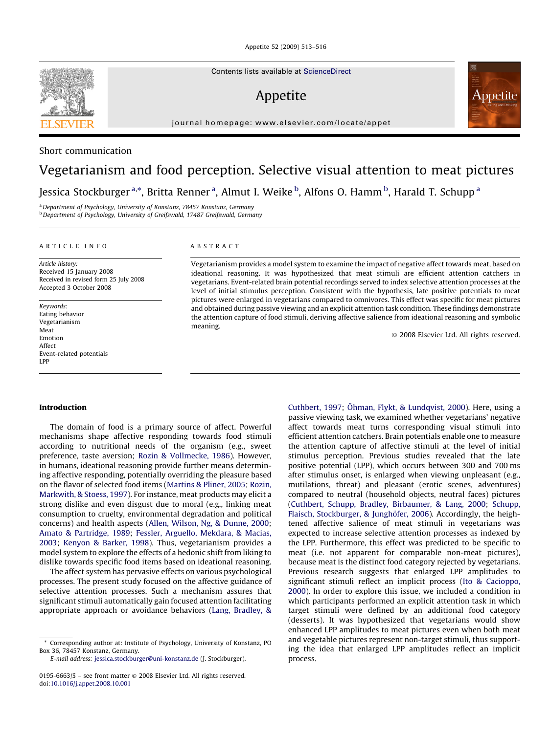Appetite 52 (2009) 513–516

Contents lists available at [ScienceDirect](http://www.sciencedirect.com/science/journal/01956663)

## Appetite

journal homepage: www.elsevier.com/locate/appet

### Short communication

# Vegetarianism and food perception. Selective visual attention to meat pictures Jessica Stockburger <sup>a,\*</sup>, Britta Renner <sup>a</sup>, Almut I. Weike <sup>b</sup>, Alfons O. Hamm <sup>b</sup>, Harald T. Schupp <sup>a</sup>

<sup>a</sup> Department of Psychology, University of Konstanz, 78457 Konstanz, Germany b Department of Psychology, University of Greifswald, 17487 Greifswald, Germany

#### ARTICLE INFO

Article history: Received 15 January 2008 Received in revised form 25 July 2008 Accepted 3 October 2008

Keywords: Eating behavior Vegetarianism Meat Emotion Affect Event-related potentials LPP

#### ABSTRACT

Vegetarianism provides a model system to examine the impact of negative affect towards meat, based on ideational reasoning. It was hypothesized that meat stimuli are efficient attention catchers in vegetarians. Event-related brain potential recordings served to index selective attention processes at the level of initial stimulus perception. Consistent with the hypothesis, late positive potentials to meat pictures were enlarged in vegetarians compared to omnivores. This effect was specific for meat pictures and obtained during passive viewing and an explicit attention task condition. These findings demonstrate the attention capture of food stimuli, deriving affective salience from ideational reasoning and symbolic meaning.

- 2008 Elsevier Ltd. All rights reserved.

#### Introduction

The domain of food is a primary source of affect. Powerful mechanisms shape affective responding towards food stimuli according to nutritional needs of the organism (e.g., sweet preference, taste aversion; [Rozin & Vollmecke, 1986\)](#page-3-0). However, in humans, ideational reasoning provide further means determining affective responding, potentially overriding the pleasure based on the flavor of selected food items [\(Martins & Pliner, 2005](#page-3-0); [Rozin,](#page-3-0) [Markwith, & Stoess, 1997\)](#page-3-0). For instance, meat products may elicit a strong dislike and even disgust due to moral (e.g., linking meat consumption to cruelty, environmental degradation and political concerns) and health aspects ([Allen, Wilson, Ng, & Dunne, 2000;](#page-3-0) [Amato & Partridge, 1989;](#page-3-0) [Fessler, Arguello, Mekdara, & Macias,](#page-3-0) [2003;](#page-3-0) [Kenyon & Barker, 1998](#page-3-0)). Thus, vegetarianism provides a model system to explore the effects of a hedonic shift from liking to dislike towards specific food items based on ideational reasoning.

The affect system has pervasive effects on various psychological processes. The present study focused on the affective guidance of selective attention processes. Such a mechanism assures that significant stimuli automatically gain focused attention facilitating appropriate approach or avoidance behaviors [\(Lang, Bradley, &](#page-3-0)

[Cuthbert, 1997;](#page-3-0) Ö[hman, Flykt, & Lundqvist, 2000](#page-3-0)). Here, using a passive viewing task, we examined whether vegetarians' negative affect towards meat turns corresponding visual stimuli into efficient attention catchers. Brain potentials enable one to measure the attention capture of affective stimuli at the level of initial stimulus perception. Previous studies revealed that the late positive potential (LPP), which occurs between 300 and 700 ms after stimulus onset, is enlarged when viewing unpleasant (e.g., mutilations, threat) and pleasant (erotic scenes, adventures) compared to neutral (household objects, neutral faces) pictures ([Cuthbert, Schupp, Bradley, Birbaumer, & Lang, 2000](#page-3-0); [Schupp,](#page-3-0) Flaisch, Stockburger, & Junghöfer, 2006). Accordingly, the heightened affective salience of meat stimuli in vegetarians was expected to increase selective attention processes as indexed by the LPP. Furthermore, this effect was predicted to be specific to meat (i.e. not apparent for comparable non-meat pictures), because meat is the distinct food category rejected by vegetarians. Previous research suggests that enlarged LPP amplitudes to significant stimuli reflect an implicit process [\(Ito & Cacioppo,](#page-3-0) [2000\)](#page-3-0). In order to explore this issue, we included a condition in which participants performed an explicit attention task in which target stimuli were defined by an additional food category (desserts). It was hypothesized that vegetarians would show enhanced LPP amplitudes to meat pictures even when both meat and vegetable pictures represent non-target stimuli, thus supporting the idea that enlarged LPP amplitudes reflect an implicit process.



<sup>\*</sup> Corresponding author at: Institute of Psychology, University of Konstanz, PO Box 36, 78457 Konstanz, Germany.

E-mail address: [jessica.stockburger@uni-konstanz.de](mailto:jessica.stockburger@uni-konstanz.de) (J. Stockburger).

<sup>0195-6663/\$ –</sup> see front matter © 2008 Elsevier Ltd. All rights reserved. doi:[10.1016/j.appet.2008.10.001](http://dx.doi.org/10.1016/j.appet.2008.10.001)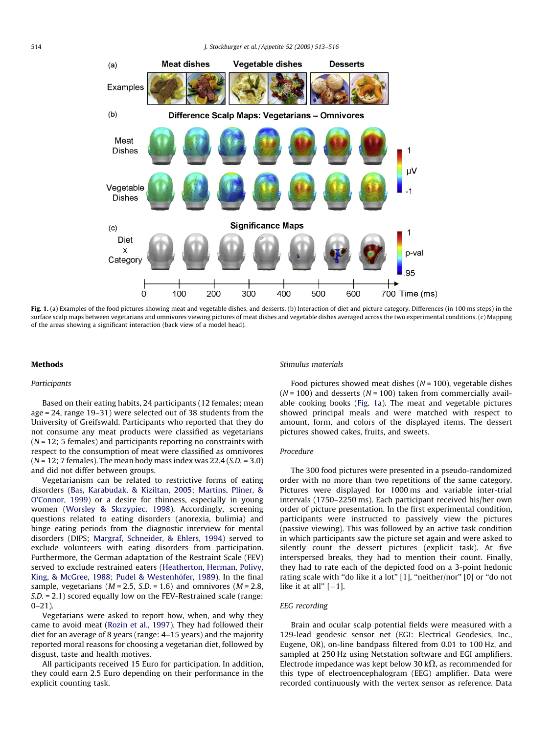<span id="page-1-0"></span>

Fig. 1. (a) Examples of the food pictures showing meat and vegetable dishes, and desserts. (b) Interaction of diet and picture category. Differences (in 100 ms steps) in the surface scalp maps between vegetarians and omnivores viewing pictures of meat dishes and vegetable dishes averaged across the two experimental conditions. (c) Mapping of the areas showing a significant interaction (back view of a model head).

#### Methods

#### Participants

Based on their eating habits, 24 participants (12 females; mean age = 24, range 19–31) were selected out of 38 students from the University of Greifswald. Participants who reported that they do not consume any meat products were classified as vegetarians  $(N = 12; 5$  females) and participants reporting no constraints with respect to the consumption of meat were classified as omnivores  $(N = 12; 7$  females). The mean body mass index was  $22.4$  (S.D. = 3.0) and did not differ between groups.

Vegetarianism can be related to restrictive forms of eating disorders [\(Bas, Karabudak, & Kiziltan, 2005](#page-3-0); [Martins, Pliner, &](#page-3-0) [O'Connor, 1999](#page-3-0)) or a desire for thinness, especially in young women [\(Worsley & Skrzypiec, 1998](#page-3-0)). Accordingly, screening questions related to eating disorders (anorexia, bulimia) and binge eating periods from the diagnostic interview for mental disorders (DIPS; [Margraf, Schneider, & Ehlers, 1994](#page-3-0)) served to exclude volunteers with eating disorders from participation. Furthermore, the German adaptation of the Restraint Scale (FEV) served to exclude restrained eaters ([Heatherton, Herman, Polivy,](#page-3-0) [King, & McGree, 1988](#page-3-0); Pudel & Westenhöfer, 1989). In the final sample, vegetarians ( $M = 2.5$ ,  $S.D. = 1.6$ ) and omnivores ( $M = 2.8$ , S.D. = 2.1) scored equally low on the FEV-Restrained scale (range:  $0 - 21$ ).

Vegetarians were asked to report how, when, and why they came to avoid meat ([Rozin et al., 1997\)](#page-3-0). They had followed their diet for an average of 8 years (range: 4–15 years) and the majority reported moral reasons for choosing a vegetarian diet, followed by disgust, taste and health motives.

All participants received 15 Euro for participation. In addition, they could earn 2.5 Euro depending on their performance in the explicit counting task.

#### Stimulus materials

Food pictures showed meat dishes  $(N = 100)$ , vegetable dishes  $(N = 100)$  and desserts  $(N = 100)$  taken from commercially available cooking books (Fig. 1a). The meat and vegetable pictures showed principal meals and were matched with respect to amount, form, and colors of the displayed items. The dessert pictures showed cakes, fruits, and sweets.

#### Procedure

The 300 food pictures were presented in a pseudo-randomized order with no more than two repetitions of the same category. Pictures were displayed for 1000 ms and variable inter-trial intervals (1750–2250 ms). Each participant received his/her own order of picture presentation. In the first experimental condition, participants were instructed to passively view the pictures (passive viewing). This was followed by an active task condition in which participants saw the picture set again and were asked to silently count the dessert pictures (explicit task). At five interspersed breaks, they had to mention their count. Finally, they had to rate each of the depicted food on a 3-point hedonic rating scale with "do like it a lot" [1], "neither/nor" [0] or "do not  $like$  it at all"  $[-1]$ .

#### EEG recording

Brain and ocular scalp potential fields were measured with a 129-lead geodesic sensor net (EGI: Electrical Geodesics, Inc., Eugene, OR), on-line bandpass filtered from 0.01 to 100 Hz, and sampled at 250 Hz using Netstation software and EGI amplifiers. Electrode impedance was kept below 30 k $\Omega$ , as recommended for this type of electroencephalogram (EEG) amplifier. Data were recorded continuously with the vertex sensor as reference. Data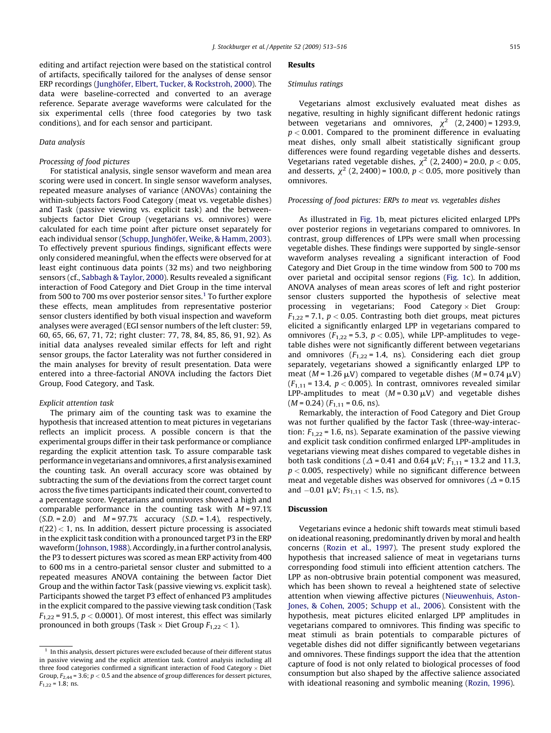editing and artifact rejection were based on the statistical control of artifacts, specifically tailored for the analyses of dense sensor ERP recordings (Junghöfer, Elbert, Tucker, & Rockstroh, 2000). The data were baseline-corrected and converted to an average reference. Separate average waveforms were calculated for the six experimental cells (three food categories by two task conditions), and for each sensor and participant.

#### Data analysis

#### Processing of food pictures

For statistical analysis, single sensor waveform and mean area scoring were used in concert. In single sensor waveform analyses, repeated measure analyses of variance (ANOVAs) containing the within-subjects factors Food Category (meat vs. vegetable dishes) and Task (passive viewing vs. explicit task) and the betweensubjects factor Diet Group (vegetarians vs. omnivores) were calculated for each time point after picture onset separately for each individual sensor (Schupp, Junghöfer, Weike, & Hamm, 2003). To effectively prevent spurious findings, significant effects were only considered meaningful, when the effects were observed for at least eight continuous data points (32 ms) and two neighboring sensors (cf., [Sabbagh & Taylor, 2000\)](#page-3-0). Results revealed a significant interaction of Food Category and Diet Group in the time interval from 500 to 700 ms over posterior sensor sites.<sup>1</sup> To further explore these effects, mean amplitudes from representative posterior sensor clusters identified by both visual inspection and waveform analyses were averaged (EGI sensor numbers of the left cluster: 59, 60, 65, 66, 67, 71, 72; right cluster: 77, 78, 84, 85, 86, 91, 92). As initial data analyses revealed similar effects for left and right sensor groups, the factor Laterality was not further considered in the main analyses for brevity of result presentation. Data were entered into a three-factorial ANOVA including the factors Diet Group, Food Category, and Task.

#### Explicit attention task

The primary aim of the counting task was to examine the hypothesis that increased attention to meat pictures in vegetarians reflects an implicit process. A possible concern is that the experimental groups differ in their task performance or compliance regarding the explicit attention task. To assure comparable task performance in vegetarians and omnivores, a first analysis examined the counting task. An overall accuracy score was obtained by subtracting the sum of the deviations from the correct target count across the five times participants indicated their count, converted to a percentage score. Vegetarians and omnivores showed a high and comparable performance in the counting task with  $M = 97.1%$  $(S.D. = 2.0)$  and  $M = 97.7%$  accuracy  $(S.D. = 1.4)$ , respectively,  $t(22) < 1$ , ns. In addition, dessert picture processing is associated in the explicit task condition with a pronounced target P3 in the ERP waveform [\(Johnson, 1988](#page-3-0)). Accordingly, in a further control analysis, the P3 to dessert pictures was scored as mean ERP activity from 400 to 600 ms in a centro-parietal sensor cluster and submitted to a repeated measures ANOVA containing the between factor Diet Group and the within factor Task (passive viewing vs. explicit task). Participants showed the target P3 effect of enhanced P3 amplitudes in the explicit compared to the passive viewing task condition (Task  $F_{1,22}$  = 91.5,  $p < 0.0001$ ). Of most interest, this effect was similarly pronounced in both groups (Task  $\times$  Diet Group  $F_{1,22}$  < 1).

#### Results

#### Stimulus ratings

Vegetarians almost exclusively evaluated meat dishes as negative, resulting in highly significant different hedonic ratings between vegetarians and omnivores,  $\chi^2$  (2, 2400) = 1293.9,  $p < 0.001$ . Compared to the prominent difference in evaluating meat dishes, only small albeit statistically significant group differences were found regarding vegetable dishes and desserts. Vegetarians rated vegetable dishes,  $\chi^2$  (2, 2400) = 20.0,  $p < 0.05$ , and desserts,  $\chi^2$  (2, 2400) = 100.0,  $p < 0.05$ , more positively than omnivores.

#### Processing of food pictures: ERPs to meat vs. vegetables dishes

As illustrated in [Fig. 1b](#page-1-0), meat pictures elicited enlarged LPPs over posterior regions in vegetarians compared to omnivores. In contrast, group differences of LPPs were small when processing vegetable dishes. These findings were supported by single-sensor waveform analyses revealing a significant interaction of Food Category and Diet Group in the time window from 500 to 700 ms over parietal and occipital sensor regions ([Fig. 1c](#page-1-0)). In addition, ANOVA analyses of mean areas scores of left and right posterior sensor clusters supported the hypothesis of selective meat processing in vegetarians; Food Category  $\times$  Diet Group:  $F_{1,22}$  = 7.1,  $p < 0.05$ . Contrasting both diet groups, meat pictures elicited a significantly enlarged LPP in vegetarians compared to omnivores ( $F_{1,22}$  = 5.3,  $p < 0.05$ ), while LPP-amplitudes to vegetable dishes were not significantly different between vegetarians and omnivores  $(F_{1,22} = 1.4, \text{ns})$ . Considering each diet group separately, vegetarians showed a significantly enlarged LPP to meat ( $M = 1.26 \mu V$ ) compared to vegetable dishes ( $M = 0.74 \mu V$ )  $(F_{1,11} = 13.4, p < 0.005)$ . In contrast, omnivores revealed similar LPP-amplitudes to meat  $(M = 0.30 \,\mu\text{V})$  and vegetable dishes  $(M = 0.24)$   $(F_{1,11} = 0.6, \text{ ns}).$ 

Remarkably, the interaction of Food Category and Diet Group was not further qualified by the factor Task (three-way-interaction:  $F_{1,22}$  = 1.6, ns). Separate examination of the passive viewing and explicit task condition confirmed enlarged LPP-amplitudes in vegetarians viewing meat dishes compared to vegetable dishes in both task conditions ( $\Delta$  = 0.41 and 0.64  $\mu$ V;  $F_{1,11}$  = 13.2 and 11.3,  $p < 0.005$ , respectively) while no significant difference between meat and vegetable dishes was observed for omnivores ( $\Delta$  = 0.15 and  $-0.01 \mu V$ ;  $Fs_{1,11} < 1.5$ , ns).

#### Discussion

Vegetarians evince a hedonic shift towards meat stimuli based on ideational reasoning, predominantly driven by moral and health concerns [\(Rozin et al., 1997](#page-3-0)). The present study explored the hypothesis that increased salience of meat in vegetarians turns corresponding food stimuli into efficient attention catchers. The LPP as non-obtrusive brain potential component was measured, which has been shown to reveal a heightened state of selective attention when viewing affective pictures ([Nieuwenhuis, Aston-](#page-3-0)[Jones, & Cohen, 2005;](#page-3-0) [Schupp et al., 2006](#page-3-0)). Consistent with the hypothesis, meat pictures elicited enlarged LPP amplitudes in vegetarians compared to omnivores. This finding was specific to meat stimuli as brain potentials to comparable pictures of vegetable dishes did not differ significantly between vegetarians and omnivores. These findings support the idea that the attention capture of food is not only related to biological processes of food consumption but also shaped by the affective salience associated with ideational reasoning and symbolic meaning [\(Rozin, 1996\)](#page-3-0).

 $1$  In this analysis, dessert pictures were excluded because of their different status in passive viewing and the explicit attention task. Control analysis including all three food categories confirmed a significant interaction of Food Category  $\times$  Diet Group,  $F_{2,44}$  = 3.6;  $p < 0.5$  and the absence of group differences for dessert pictures,  $F_{1,22} = 1.8$ ; ns.